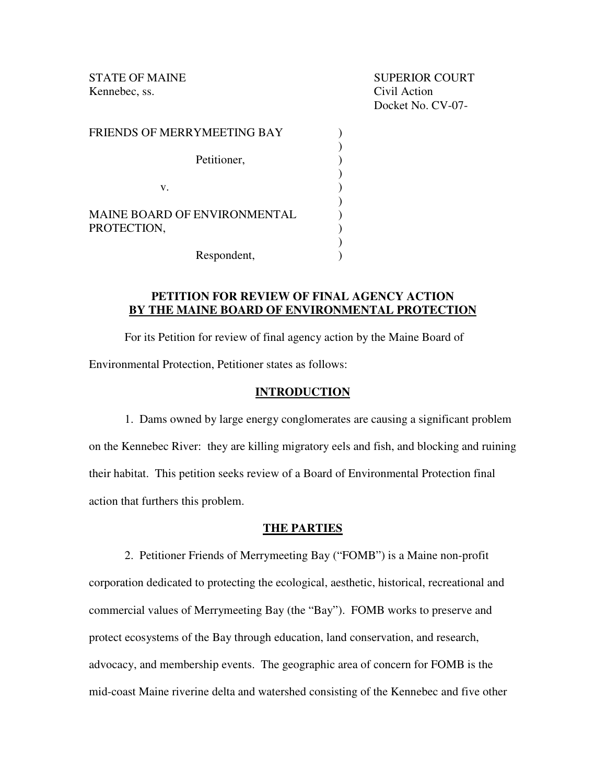Kennebec, ss. Civil Action

STATE OF MAINE SUPERIOR COURT Docket No. CV-07-

| FRIENDS OF MERRYMEETING BAY                        |  |
|----------------------------------------------------|--|
| Petitioner,                                        |  |
| V.                                                 |  |
| <b>MAINE BOARD OF ENVIRONMENTAL</b><br>PROTECTION, |  |
| Respondent,                                        |  |

# **PETITION FOR REVIEW OF FINAL AGENCY ACTION BY THE MAINE BOARD OF ENVIRONMENTAL PROTECTION**

 For its Petition for review of final agency action by the Maine Board of Environmental Protection, Petitioner states as follows:

# **INTRODUCTION**

 1. Dams owned by large energy conglomerates are causing a significant problem on the Kennebec River: they are killing migratory eels and fish, and blocking and ruining their habitat. This petition seeks review of a Board of Environmental Protection final action that furthers this problem.

## **THE PARTIES**

 2. Petitioner Friends of Merrymeeting Bay ("FOMB") is a Maine non-profit corporation dedicated to protecting the ecological, aesthetic, historical, recreational and commercial values of Merrymeeting Bay (the "Bay"). FOMB works to preserve and protect ecosystems of the Bay through education, land conservation, and research, advocacy, and membership events. The geographic area of concern for FOMB is the mid-coast Maine riverine delta and watershed consisting of the Kennebec and five other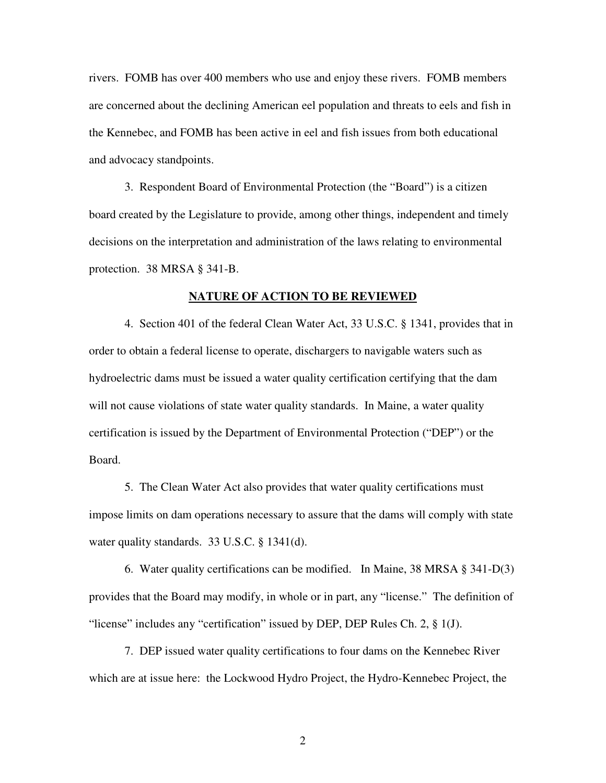rivers. FOMB has over 400 members who use and enjoy these rivers. FOMB members are concerned about the declining American eel population and threats to eels and fish in the Kennebec, and FOMB has been active in eel and fish issues from both educational and advocacy standpoints.

 3. Respondent Board of Environmental Protection (the "Board") is a citizen board created by the Legislature to provide, among other things, independent and timely decisions on the interpretation and administration of the laws relating to environmental protection. 38 MRSA § 341-B.

## **NATURE OF ACTION TO BE REVIEWED**

 4. Section 401 of the federal Clean Water Act, 33 U.S.C. § 1341, provides that in order to obtain a federal license to operate, dischargers to navigable waters such as hydroelectric dams must be issued a water quality certification certifying that the dam will not cause violations of state water quality standards. In Maine, a water quality certification is issued by the Department of Environmental Protection ("DEP") or the Board.

 5. The Clean Water Act also provides that water quality certifications must impose limits on dam operations necessary to assure that the dams will comply with state water quality standards. 33 U.S.C. § 1341(d).

 6. Water quality certifications can be modified. In Maine, 38 MRSA § 341-D(3) provides that the Board may modify, in whole or in part, any "license." The definition of "license" includes any "certification" issued by DEP, DEP Rules Ch. 2, § 1(J).

 7. DEP issued water quality certifications to four dams on the Kennebec River which are at issue here: the Lockwood Hydro Project, the Hydro-Kennebec Project, the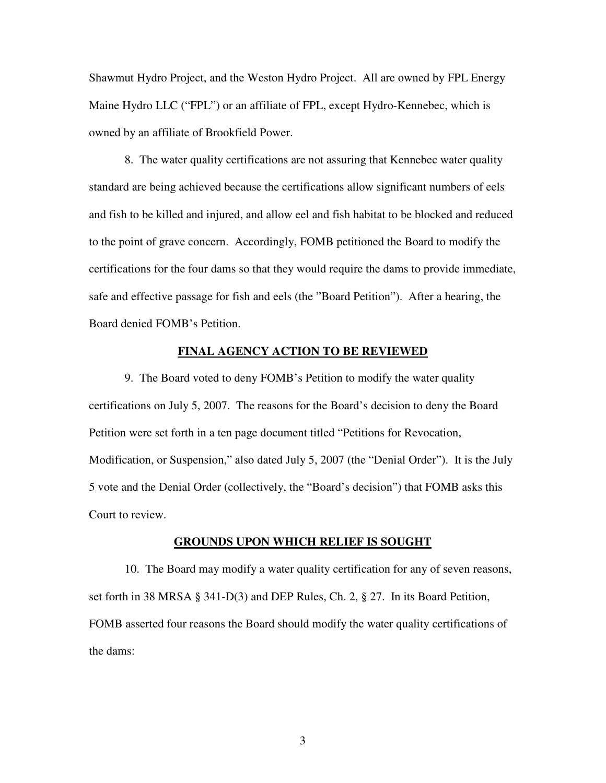Shawmut Hydro Project, and the Weston Hydro Project. All are owned by FPL Energy Maine Hydro LLC ("FPL") or an affiliate of FPL, except Hydro-Kennebec, which is owned by an affiliate of Brookfield Power.

8. The water quality certifications are not assuring that Kennebec water quality standard are being achieved because the certifications allow significant numbers of eels and fish to be killed and injured, and allow eel and fish habitat to be blocked and reduced to the point of grave concern. Accordingly, FOMB petitioned the Board to modify the certifications for the four dams so that they would require the dams to provide immediate, safe and effective passage for fish and eels (the "Board Petition"). After a hearing, the Board denied FOMB's Petition.

## **FINAL AGENCY ACTION TO BE REVIEWED**

 9. The Board voted to deny FOMB's Petition to modify the water quality certifications on July 5, 2007. The reasons for the Board's decision to deny the Board Petition were set forth in a ten page document titled "Petitions for Revocation, Modification, or Suspension," also dated July 5, 2007 (the "Denial Order"). It is the July 5 vote and the Denial Order (collectively, the "Board's decision") that FOMB asks this Court to review.

### **GROUNDS UPON WHICH RELIEF IS SOUGHT**

 10. The Board may modify a water quality certification for any of seven reasons, set forth in 38 MRSA § 341-D(3) and DEP Rules, Ch. 2, § 27. In its Board Petition, FOMB asserted four reasons the Board should modify the water quality certifications of the dams: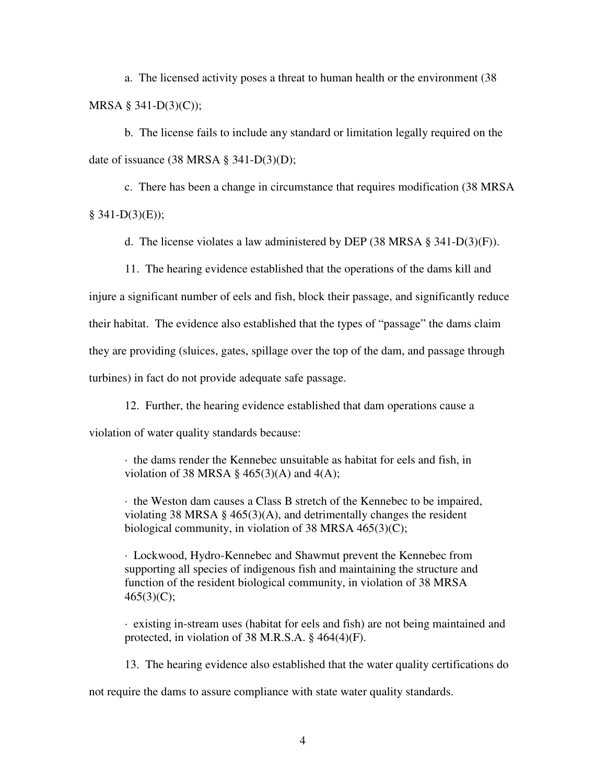a. The licensed activity poses a threat to human health or the environment (38 MRSA § 341-D(3)(C));

b. The license fails to include any standard or limitation legally required on the date of issuance  $(38 \text{ MRSA } \S 341-D(3)(D));$ 

c. There has been a change in circumstance that requires modification (38 MRSA  $§$  341-D(3)(E));

d. The license violates a law administered by DEP (38 MRSA § 341-D(3)(F)).

 11. The hearing evidence established that the operations of the dams kill and injure a significant number of eels and fish, block their passage, and significantly reduce their habitat. The evidence also established that the types of "passage" the dams claim they are providing (sluices, gates, spillage over the top of the dam, and passage through turbines) in fact do not provide adequate safe passage.

12. Further, the hearing evidence established that dam operations cause a violation of water quality standards because:

· the dams render the Kennebec unsuitable as habitat for eels and fish, in violation of 38 MRSA §  $465(3)(A)$  and  $4(A)$ ;

· the Weston dam causes a Class B stretch of the Kennebec to be impaired, violating 38 MRSA  $\S$  465(3)(A), and detrimentally changes the resident biological community, in violation of 38 MRSA 465(3)(C);

· Lockwood, Hydro-Kennebec and Shawmut prevent the Kennebec from supporting all species of indigenous fish and maintaining the structure and function of the resident biological community, in violation of 38 MRSA  $465(3)(C);$ 

· existing in-stream uses (habitat for eels and fish) are not being maintained and protected, in violation of 38 M.R.S.A. § 464(4)(F).

13. The hearing evidence also established that the water quality certifications do

not require the dams to assure compliance with state water quality standards.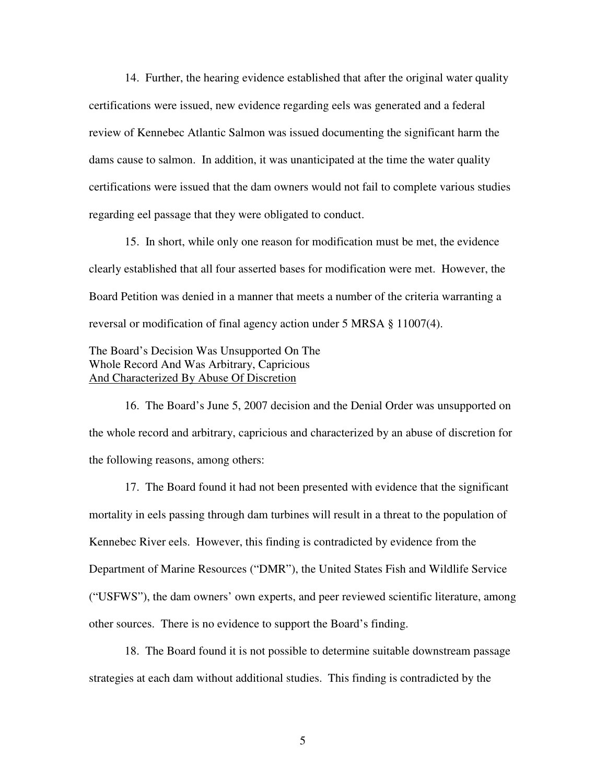14. Further, the hearing evidence established that after the original water quality certifications were issued, new evidence regarding eels was generated and a federal review of Kennebec Atlantic Salmon was issued documenting the significant harm the dams cause to salmon. In addition, it was unanticipated at the time the water quality certifications were issued that the dam owners would not fail to complete various studies regarding eel passage that they were obligated to conduct.

15. In short, while only one reason for modification must be met, the evidence clearly established that all four asserted bases for modification were met. However, the Board Petition was denied in a manner that meets a number of the criteria warranting a reversal or modification of final agency action under 5 MRSA § 11007(4).

# The Board's Decision Was Unsupported On The Whole Record And Was Arbitrary, Capricious And Characterized By Abuse Of Discretion

16. The Board's June 5, 2007 decision and the Denial Order was unsupported on the whole record and arbitrary, capricious and characterized by an abuse of discretion for the following reasons, among others:

17. The Board found it had not been presented with evidence that the significant mortality in eels passing through dam turbines will result in a threat to the population of Kennebec River eels. However, this finding is contradicted by evidence from the Department of Marine Resources ("DMR"), the United States Fish and Wildlife Service ("USFWS"), the dam owners' own experts, and peer reviewed scientific literature, among other sources. There is no evidence to support the Board's finding.

18. The Board found it is not possible to determine suitable downstream passage strategies at each dam without additional studies. This finding is contradicted by the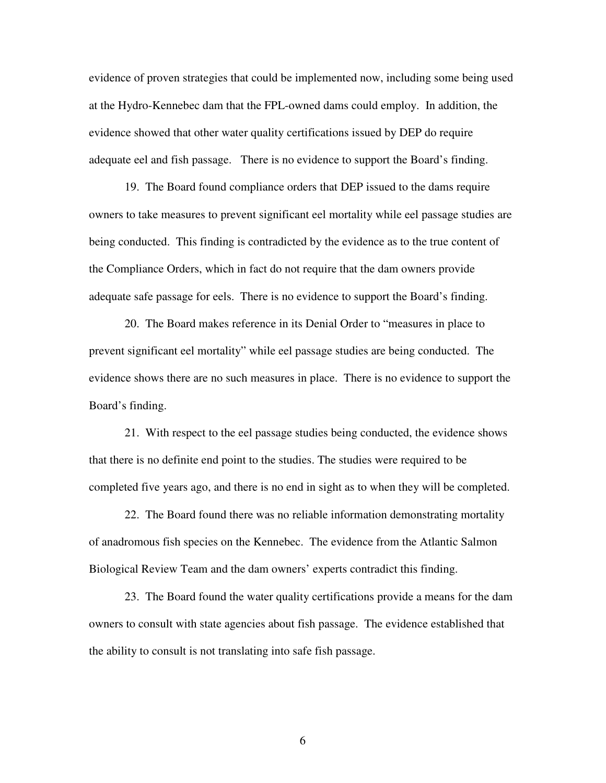evidence of proven strategies that could be implemented now, including some being used at the Hydro-Kennebec dam that the FPL-owned dams could employ. In addition, the evidence showed that other water quality certifications issued by DEP do require adequate eel and fish passage. There is no evidence to support the Board's finding.

19. The Board found compliance orders that DEP issued to the dams require owners to take measures to prevent significant eel mortality while eel passage studies are being conducted. This finding is contradicted by the evidence as to the true content of the Compliance Orders, which in fact do not require that the dam owners provide adequate safe passage for eels. There is no evidence to support the Board's finding.

20. The Board makes reference in its Denial Order to "measures in place to prevent significant eel mortality" while eel passage studies are being conducted. The evidence shows there are no such measures in place. There is no evidence to support the Board's finding.

21. With respect to the eel passage studies being conducted, the evidence shows that there is no definite end point to the studies. The studies were required to be completed five years ago, and there is no end in sight as to when they will be completed.

22. The Board found there was no reliable information demonstrating mortality of anadromous fish species on the Kennebec. The evidence from the Atlantic Salmon Biological Review Team and the dam owners' experts contradict this finding.

23. The Board found the water quality certifications provide a means for the dam owners to consult with state agencies about fish passage. The evidence established that the ability to consult is not translating into safe fish passage.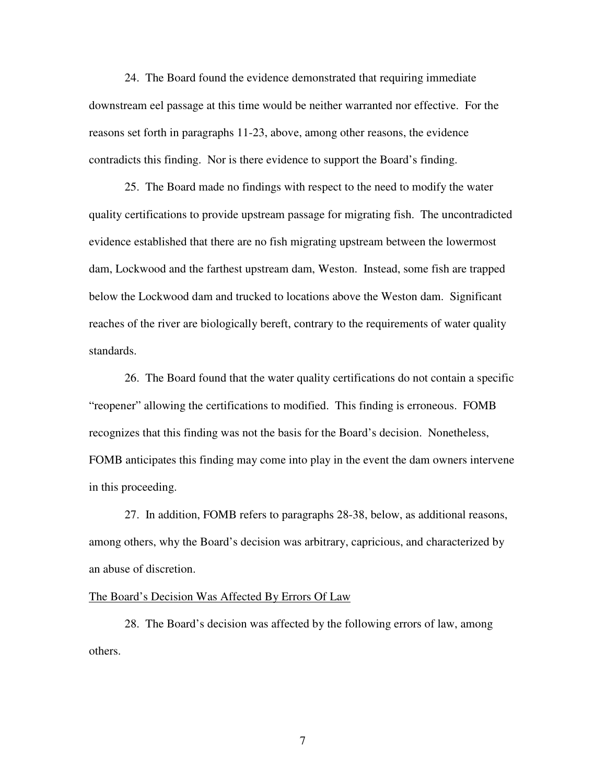24. The Board found the evidence demonstrated that requiring immediate downstream eel passage at this time would be neither warranted nor effective. For the reasons set forth in paragraphs 11-23, above, among other reasons, the evidence contradicts this finding. Nor is there evidence to support the Board's finding.

25. The Board made no findings with respect to the need to modify the water quality certifications to provide upstream passage for migrating fish. The uncontradicted evidence established that there are no fish migrating upstream between the lowermost dam, Lockwood and the farthest upstream dam, Weston. Instead, some fish are trapped below the Lockwood dam and trucked to locations above the Weston dam. Significant reaches of the river are biologically bereft, contrary to the requirements of water quality standards.

26. The Board found that the water quality certifications do not contain a specific "reopener" allowing the certifications to modified. This finding is erroneous. FOMB recognizes that this finding was not the basis for the Board's decision. Nonetheless, FOMB anticipates this finding may come into play in the event the dam owners intervene in this proceeding.

27. In addition, FOMB refers to paragraphs 28-38, below, as additional reasons, among others, why the Board's decision was arbitrary, capricious, and characterized by an abuse of discretion.

# The Board's Decision Was Affected By Errors Of Law

 28. The Board's decision was affected by the following errors of law, among others.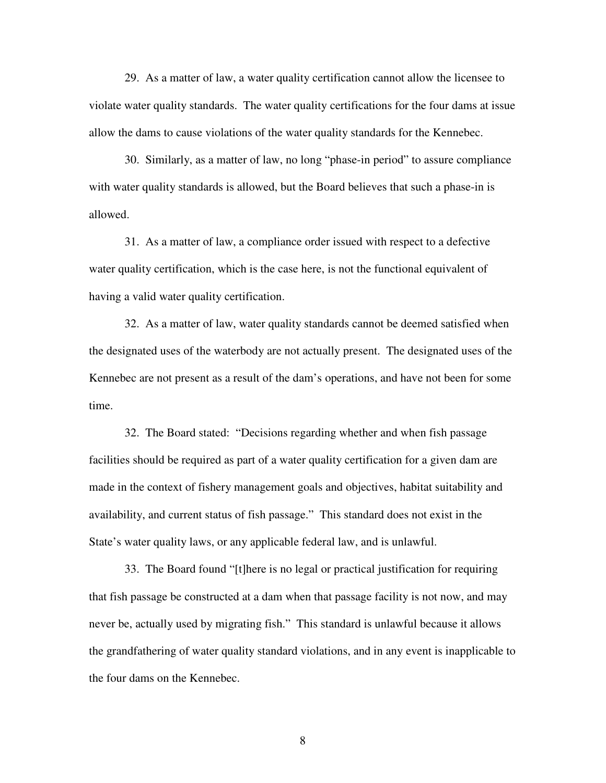29. As a matter of law, a water quality certification cannot allow the licensee to violate water quality standards. The water quality certifications for the four dams at issue allow the dams to cause violations of the water quality standards for the Kennebec.

 30. Similarly, as a matter of law, no long "phase-in period" to assure compliance with water quality standards is allowed, but the Board believes that such a phase-in is allowed.

 31. As a matter of law, a compliance order issued with respect to a defective water quality certification, which is the case here, is not the functional equivalent of having a valid water quality certification.

 32. As a matter of law, water quality standards cannot be deemed satisfied when the designated uses of the waterbody are not actually present. The designated uses of the Kennebec are not present as a result of the dam's operations, and have not been for some time.

 32. The Board stated: "Decisions regarding whether and when fish passage facilities should be required as part of a water quality certification for a given dam are made in the context of fishery management goals and objectives, habitat suitability and availability, and current status of fish passage." This standard does not exist in the State's water quality laws, or any applicable federal law, and is unlawful.

 33. The Board found "[t]here is no legal or practical justification for requiring that fish passage be constructed at a dam when that passage facility is not now, and may never be, actually used by migrating fish." This standard is unlawful because it allows the grandfathering of water quality standard violations, and in any event is inapplicable to the four dams on the Kennebec.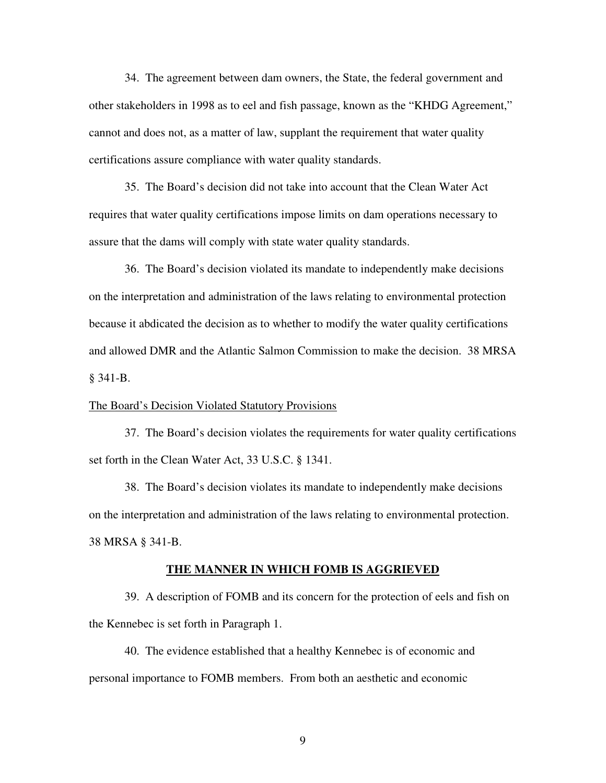34. The agreement between dam owners, the State, the federal government and other stakeholders in 1998 as to eel and fish passage, known as the "KHDG Agreement," cannot and does not, as a matter of law, supplant the requirement that water quality certifications assure compliance with water quality standards.

 35. The Board's decision did not take into account that the Clean Water Act requires that water quality certifications impose limits on dam operations necessary to assure that the dams will comply with state water quality standards.

 36. The Board's decision violated its mandate to independently make decisions on the interpretation and administration of the laws relating to environmental protection because it abdicated the decision as to whether to modify the water quality certifications and allowed DMR and the Atlantic Salmon Commission to make the decision. 38 MRSA § 341-B.

## The Board's Decision Violated Statutory Provisions

 37. The Board's decision violates the requirements for water quality certifications set forth in the Clean Water Act, 33 U.S.C. § 1341.

 38. The Board's decision violates its mandate to independently make decisions on the interpretation and administration of the laws relating to environmental protection. 38 MRSA § 341-B.

#### **THE MANNER IN WHICH FOMB IS AGGRIEVED**

 39. A description of FOMB and its concern for the protection of eels and fish on the Kennebec is set forth in Paragraph 1.

40. The evidence established that a healthy Kennebec is of economic and personal importance to FOMB members. From both an aesthetic and economic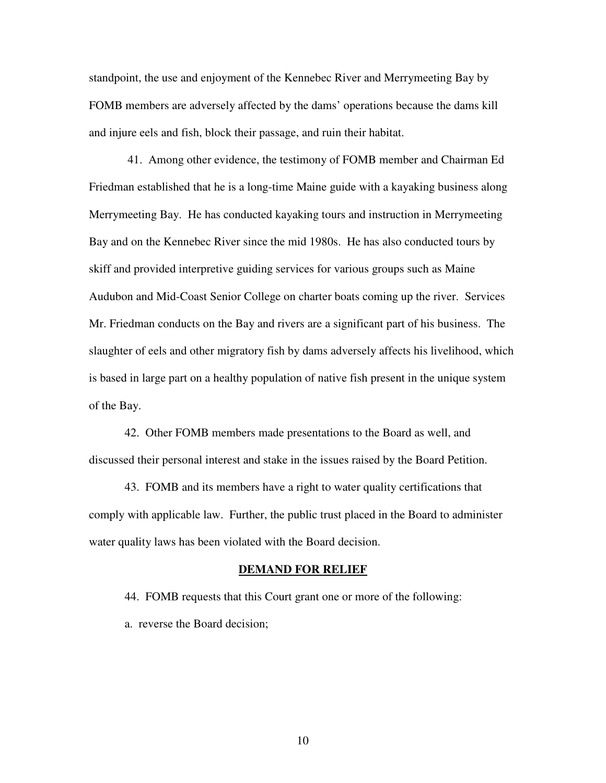standpoint, the use and enjoyment of the Kennebec River and Merrymeeting Bay by FOMB members are adversely affected by the dams' operations because the dams kill and injure eels and fish, block their passage, and ruin their habitat.

 41. Among other evidence, the testimony of FOMB member and Chairman Ed Friedman established that he is a long-time Maine guide with a kayaking business along Merrymeeting Bay. He has conducted kayaking tours and instruction in Merrymeeting Bay and on the Kennebec River since the mid 1980s. He has also conducted tours by skiff and provided interpretive guiding services for various groups such as Maine Audubon and Mid-Coast Senior College on charter boats coming up the river. Services Mr. Friedman conducts on the Bay and rivers are a significant part of his business. The slaughter of eels and other migratory fish by dams adversely affects his livelihood, which is based in large part on a healthy population of native fish present in the unique system of the Bay.

42. Other FOMB members made presentations to the Board as well, and discussed their personal interest and stake in the issues raised by the Board Petition.

43. FOMB and its members have a right to water quality certifications that comply with applicable law. Further, the public trust placed in the Board to administer water quality laws has been violated with the Board decision.

### **DEMAND FOR RELIEF**

44. FOMB requests that this Court grant one or more of the following:

a. reverse the Board decision;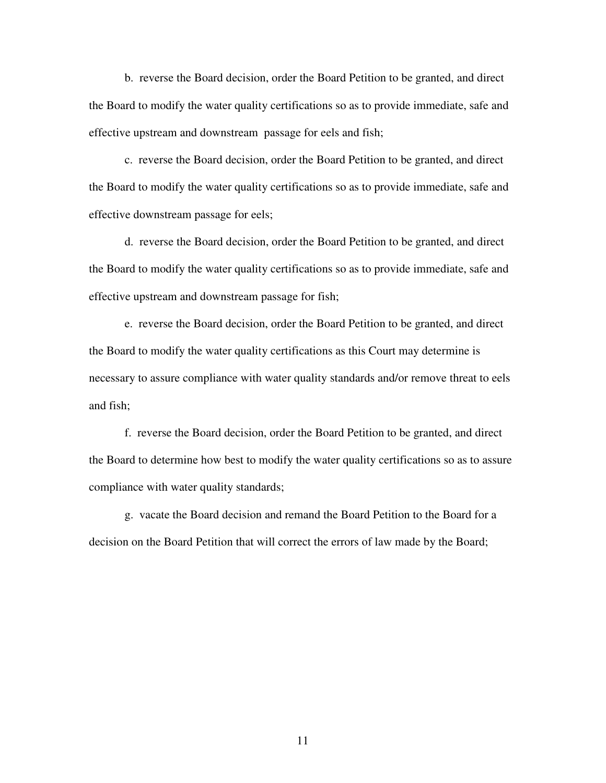b. reverse the Board decision, order the Board Petition to be granted, and direct the Board to modify the water quality certifications so as to provide immediate, safe and effective upstream and downstream passage for eels and fish;

c. reverse the Board decision, order the Board Petition to be granted, and direct the Board to modify the water quality certifications so as to provide immediate, safe and effective downstream passage for eels;

 d. reverse the Board decision, order the Board Petition to be granted, and direct the Board to modify the water quality certifications so as to provide immediate, safe and effective upstream and downstream passage for fish;

 e. reverse the Board decision, order the Board Petition to be granted, and direct the Board to modify the water quality certifications as this Court may determine is necessary to assure compliance with water quality standards and/or remove threat to eels and fish;

 f. reverse the Board decision, order the Board Petition to be granted, and direct the Board to determine how best to modify the water quality certifications so as to assure compliance with water quality standards;

 g. vacate the Board decision and remand the Board Petition to the Board for a decision on the Board Petition that will correct the errors of law made by the Board;